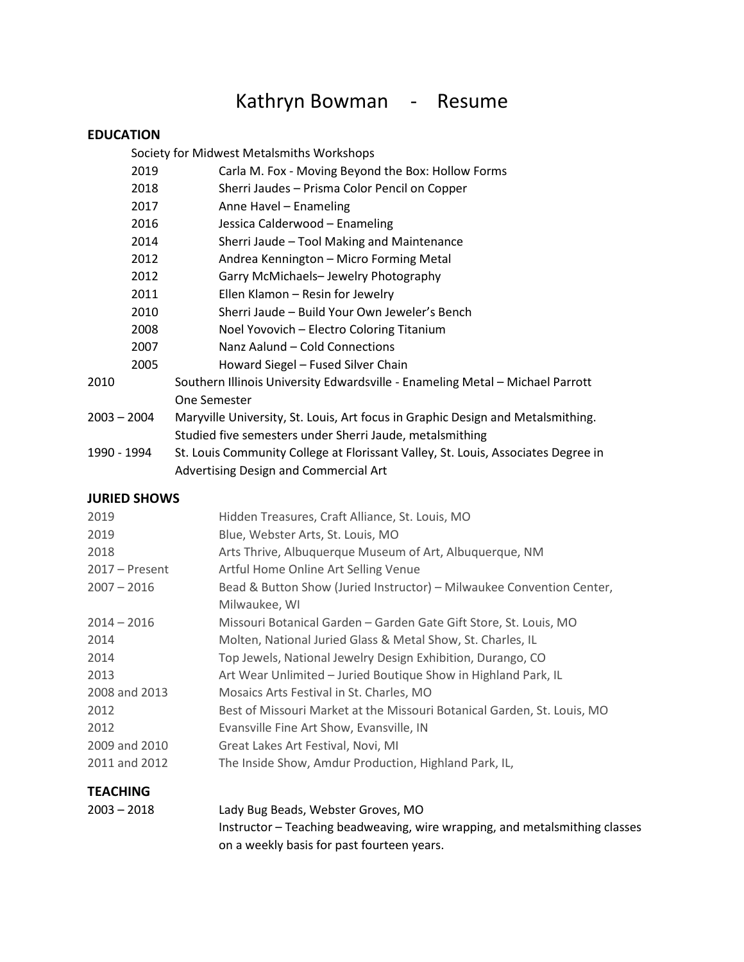# Kathryn Bowman - Resume

## **EDUCATION**

Society for Midwest Metalsmiths Workshops

| 2019          | Carla M. Fox - Moving Beyond the Box: Hollow Forms                                |
|---------------|-----------------------------------------------------------------------------------|
| 2018          | Sherri Jaudes - Prisma Color Pencil on Copper                                     |
| 2017          | Anne Havel - Enameling                                                            |
| 2016          | Jessica Calderwood - Enameling                                                    |
| 2014          | Sherri Jaude - Tool Making and Maintenance                                        |
| 2012          | Andrea Kennington - Micro Forming Metal                                           |
| 2012          | Garry McMichaels- Jewelry Photography                                             |
| 2011          | Ellen Klamon - Resin for Jewelry                                                  |
| 2010          | Sherri Jaude - Build Your Own Jeweler's Bench                                     |
| 2008          | Noel Yovovich - Electro Coloring Titanium                                         |
| 2007          | Nanz Aalund - Cold Connections                                                    |
| 2005          | Howard Siegel - Fused Silver Chain                                                |
| 2010          | Southern Illinois University Edwardsville - Enameling Metal - Michael Parrott     |
|               | One Semester                                                                      |
| $2003 - 2004$ | Maryville University, St. Louis, Art focus in Graphic Design and Metalsmithing.   |
|               | Studied five semesters under Sherri Jaude, metalsmithing                          |
| 1990 - 1994   | St. Louis Community College at Florissant Valley, St. Louis, Associates Degree in |
|               | Advertising Design and Commercial Art                                             |

#### **JURIED SHOWS**

| 2019             | Hidden Treasures, Craft Alliance, St. Louis, MO                         |
|------------------|-------------------------------------------------------------------------|
| 2019             | Blue, Webster Arts, St. Louis, MO                                       |
| 2018             | Arts Thrive, Albuquerque Museum of Art, Albuquerque, NM                 |
| $2017 -$ Present | Artful Home Online Art Selling Venue                                    |
| $2007 - 2016$    | Bead & Button Show (Juried Instructor) - Milwaukee Convention Center,   |
|                  | Milwaukee, WI                                                           |
| $2014 - 2016$    | Missouri Botanical Garden - Garden Gate Gift Store, St. Louis, MO       |
| 2014             | Molten, National Juried Glass & Metal Show, St. Charles, IL             |
| 2014             | Top Jewels, National Jewelry Design Exhibition, Durango, CO             |
| 2013             | Art Wear Unlimited - Juried Boutique Show in Highland Park, IL          |
| 2008 and 2013    | Mosaics Arts Festival in St. Charles, MO                                |
| 2012             | Best of Missouri Market at the Missouri Botanical Garden, St. Louis, MO |
| 2012             | Evansville Fine Art Show, Evansville, IN                                |
| 2009 and 2010    | Great Lakes Art Festival, Novi, MI                                      |
| 2011 and 2012    | The Inside Show, Amdur Production, Highland Park, IL,                   |
|                  |                                                                         |

## **TEACHING**

| $2003 - 2018$ | Lady Bug Beads, Webster Groves, MO                                          |
|---------------|-----------------------------------------------------------------------------|
|               | Instructor – Teaching beadweaving, wire wrapping, and metalsmithing classes |
|               | on a weekly basis for past fourteen years.                                  |